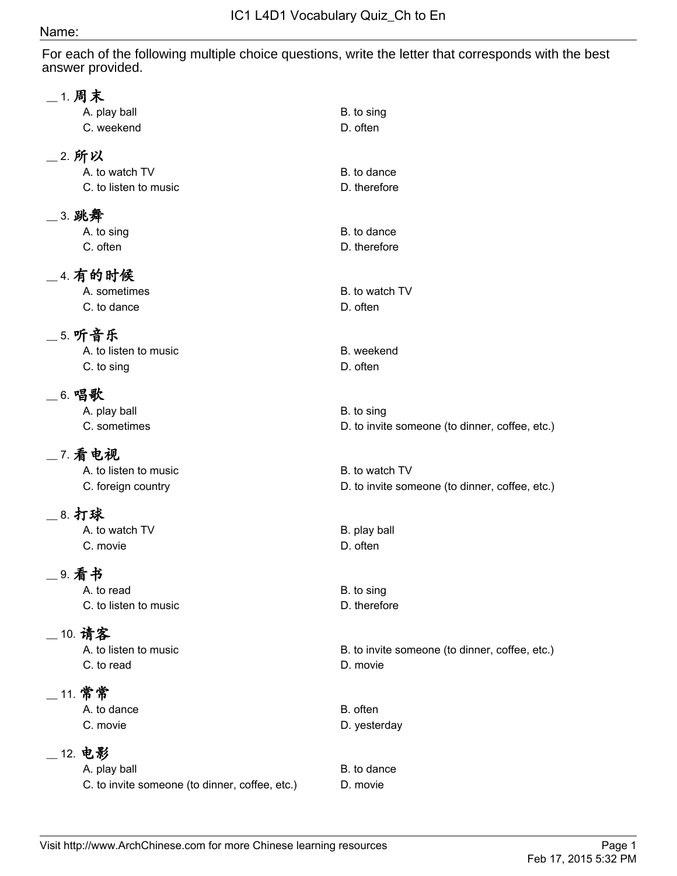## Name:

For each of the following multiple choice questions, write the letter that corresponds with the best answer provided.

| _ 1. 周末 | A. play ball<br>C. weekend                                                 | B. to sing<br>D. often                                           |
|---------|----------------------------------------------------------------------------|------------------------------------------------------------------|
| _2. 所以  | A. to watch TV<br>C. to listen to music                                    | B. to dance<br>D. therefore                                      |
| _3. 跳舞  | A. to sing<br>C. often                                                     | B. to dance<br>D. therefore                                      |
|         | <b>__4. 有的时候</b><br>A. sometimes<br>C. to dance                            | B. to watch TV<br>D. often                                       |
|         | <b>__5. 听音乐</b><br>A. to listen to music<br>C. to sing                     | B. weekend<br>D. often                                           |
| __6. 唱歌 | A. play ball<br>C. sometimes                                               | B. to sing<br>D. to invite someone (to dinner, coffee, etc.)     |
|         | _7. 看电视<br>A. to listen to music<br>C. foreign country                     | B. to watch TV<br>D. to invite someone (to dinner, coffee, etc.) |
| _8. 打球  | A. to watch TV<br>C. movie                                                 | B. play ball<br>D. often                                         |
| _ 9. 看书 | A. to read<br>C. to listen to music                                        | B. to sing<br>D. therefore                                       |
|         | _ 10. 请客<br>A. to listen to music<br>C. to read                            | B. to invite someone (to dinner, coffee, etc.)<br>D. movie       |
|         | __ 11. 常常<br>A. to dance<br>C. movie                                       | B. often<br>D. yesterday                                         |
|         | _ 12. 电影<br>A. play ball<br>C. to invite someone (to dinner, coffee, etc.) | B. to dance<br>D. movie                                          |
|         |                                                                            |                                                                  |